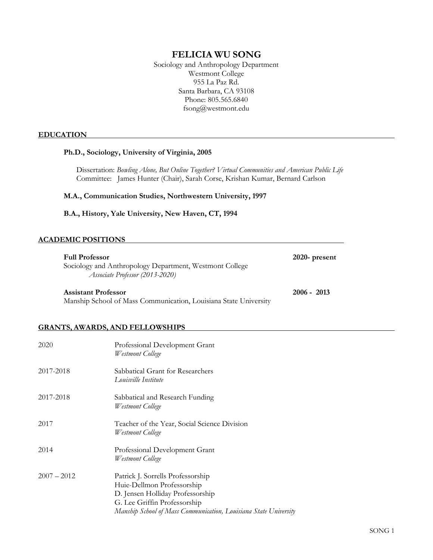# **FELICIA WU SONG**

Sociology and Anthropology Department Westmont College 955 La Paz Rd. Santa Barbara, CA 93108 Phone: 805.565.6840 fsong@westmont.edu

#### **EDUCATION**

#### **Ph.D., Sociology, University of Virginia, 2005**

Dissertation: *Bowling Alone, But Online Together? Virtual Communities and American Public Life*  Committee: James Hunter (Chair), Sarah Corse, Krishan Kumar, Bernard Carlson

**M.A., Communication Studies, Northwestern University, 1997**

**B.A., History, Yale University, New Haven, CT, 1994**

### **ACADEMIC POSITIONS**

| <b>Full Professor</b><br>Sociology and Anthropology Department, Westmont College<br>Associate Professor (2013-2020) | $2020$ - present |
|---------------------------------------------------------------------------------------------------------------------|------------------|
| <b>Assistant Professor</b>                                                                                          | $2006 - 2013$    |
| Manship School of Mass Communication, Louisiana State University                                                    |                  |

## **GRANTS, AWARDS, AND FELLOWSHIPS**

| 2020          | Professional Development Grant<br>Westmont College                                                                                                                                                      |
|---------------|---------------------------------------------------------------------------------------------------------------------------------------------------------------------------------------------------------|
| 2017-2018     | Sabbatical Grant for Researchers<br>Louisville Institute                                                                                                                                                |
| 2017-2018     | Sabbatical and Research Funding<br>Westmont College                                                                                                                                                     |
| 2017          | Teacher of the Year, Social Science Division<br>Westmont College                                                                                                                                        |
| 2014          | Professional Development Grant<br>Westmont College                                                                                                                                                      |
| $2007 - 2012$ | Patrick J. Sorrells Professorship<br>Huie-Dellmon Professorship<br>D. Jensen Holliday Professorship<br>G. Lee Griffin Professorship<br>Manship School of Mass Communication, Louisiana State University |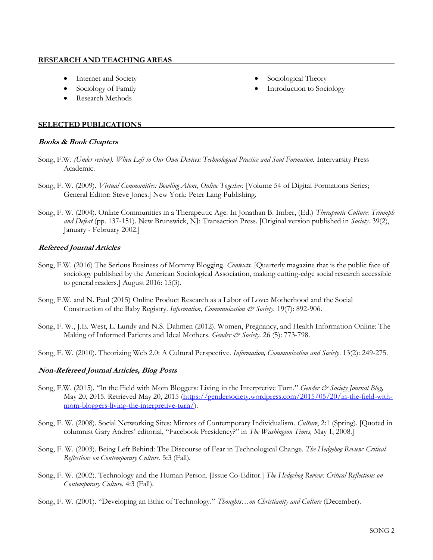### **RESEARCH AND TEACHING AREAS**

- Internet and Society
- Sociology of Family
- Research Methods
- Sociological Theory
- Introduction to Sociology

## **SELECTED PUBLICATIONS**

## **Books & Book Chapters**

- Song, F.W. *(Under review). When Left to Our Own Devices: Technological Practice and Soul Formation.* Intervarsity Press Academic.
- Song, F. W. (2009). *Virtual Communities: Bowling Alone, Online Together.* [Volume 54 of Digital Formations Series; General Editor: Steve Jones.] New York: Peter Lang Publishing.
- Song, F. W. (2004). Online Communities in a Therapeutic Age. In Jonathan B. Imber, (Ed.) *Therapeutic Culture: Triumph and Defeat* (pp. 137-151). New Brunswick, NJ: Transaction Press. [Original version published in *Society.* 39(2), January - February 2002.]

## **Refereed Journal Articles**

- Song, F.W. (2016) The Serious Business of Mommy Blogging. *Contexts.* [Quarterly magazine that is the public face of sociology published by the American Sociological Association, making cutting-edge social research accessible to general readers.] August 2016: 15(3).
- Song, F.W. and N. Paul (2015) Online Product Research as a Labor of Love: Motherhood and the Social Construction of the Baby Registry. *Information, Communication & Society.* 19(7): 892-906.
- Song, F. W., J.E. West, L. Lundy and N.S. Dahmen (2012). Women, Pregnancy, and Health Information Online: The Making of Informed Patients and Ideal Mothers. *Gender & Society*. 26 (5): 773-798.
- Song, F. W. (2010). Theorizing Web 2.0: A Cultural Perspective. *Information, Communication and Society*. 13(2): 249-275.

## **Non-Refereed Journal Articles, Blog Posts**

- Song, F.W. (2015). "In the Field with Mom Bloggers: Living in the Interpretive Turn." *Gender & Society Journal Blog,* May 20, 2015. Retrieved May 20, 2015 [\(https://gendersociety.wordpress.com/2015/05/20/in-the-field-with](https://gendersociety.wordpress.com/2015/05/20/in-the-field-with-mom-bloggers-living-the-interpretive-turn/)[mom-bloggers-living-the-interpretive-turn/\)](https://gendersociety.wordpress.com/2015/05/20/in-the-field-with-mom-bloggers-living-the-interpretive-turn/).
- Song, F. W. (2008). Social Networking Sites: Mirrors of Contemporary Individualism. *Culture*, 2:1 (Spring). [Quoted in columnist Gary Andres' editorial, "Facebook Presidency?" in *The Washington Times,* May 1, 2008.]
- Song, F. W. (2003). Being Left Behind: The Discourse of Fear in Technological Change. *The Hedgehog Review: Critical Reflections on Contemporary Culture.* 5:3 (Fall).
- Song, F. W. (2002). Technology and the Human Person. [Issue Co-Editor.] *The Hedgehog Review: Critical Reflections on Contemporary Culture.* 4:3 (Fall).
- Song, F. W. (2001). "Developing an Ethic of Technology." *Thoughts…on Christianity and Culture* (December).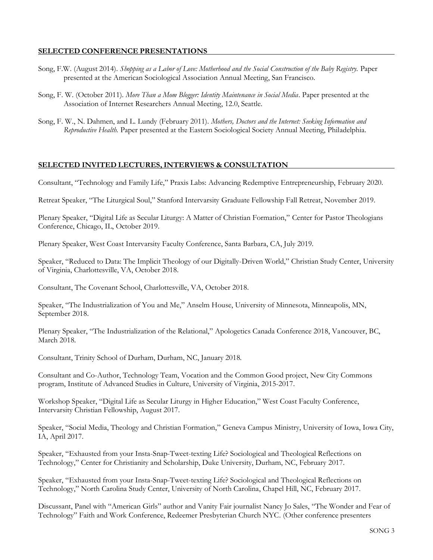## **SELECTED CONFERENCE PRESENTATIONS**

- Song, F.W. (August 2014). *Shopping as a Labor of Love: Motherhood and the Social Construction of the Baby Registry.* Paper presented at the American Sociological Association Annual Meeting, San Francisco.
- Song, F. W. (October 2011). *More Than a Mom Blogger: Identity Maintenance in Social Media*. Paper presented at the Association of Internet Researchers Annual Meeting, 12.0, Seattle.
- Song, F. W., N. Dahmen, and L. Lundy (February 2011). *Mothers, Doctors and the Internet: Seeking Information and Reproductive Health.* Paper presented at the Eastern Sociological Society Annual Meeting, Philadelphia.

### **SELECTED INVITED LECTURES, INTERVIEWS & CONSULTATION**

Consultant, "Technology and Family Life," Praxis Labs: Advancing Redemptive Entrepreneurship, February 2020.

Retreat Speaker, "The Liturgical Soul," Stanford Intervarsity Graduate Fellowship Fall Retreat, November 2019.

Plenary Speaker, "Digital Life as Secular Liturgy: A Matter of Christian Formation," Center for Pastor Theologians Conference, Chicago, IL, October 2019.

Plenary Speaker, West Coast Intervarsity Faculty Conference, Santa Barbara, CA, July 2019.

Speaker, "Reduced to Data: The Implicit Theology of our Digitally-Driven World," Christian Study Center, University of Virginia, Charlottesville, VA, October 2018.

Consultant, The Covenant School, Charlottesville, VA, October 2018.

Speaker, "The Industrialization of You and Me," Anselm House, University of Minnesota, Minneapolis, MN, September 2018.

Plenary Speaker, "The Industrialization of the Relational," Apologetics Canada Conference 2018, Vancouver, BC, March 2018.

Consultant, Trinity School of Durham, Durham, NC, January 2018.

Consultant and Co-Author, Technology Team, Vocation and the Common Good project, New City Commons program, Institute of Advanced Studies in Culture, University of Virginia, 2015-2017.

Workshop Speaker, "Digital Life as Secular Liturgy in Higher Education," West Coast Faculty Conference, Intervarsity Christian Fellowship, August 2017.

Speaker, "Social Media, Theology and Christian Formation," Geneva Campus Ministry, University of Iowa, Iowa City, IA, April 2017.

Speaker, "Exhausted from your Insta-Snap-Tweet-texting Life? Sociological and Theological Reflections on Technology," Center for Christianity and Scholarship, Duke University, Durham, NC, February 2017.

Speaker, "Exhausted from your Insta-Snap-Tweet-texting Life? Sociological and Theological Reflections on Technology," North Carolina Study Center, University of North Carolina, Chapel Hill, NC, February 2017.

Discussant, Panel with "American Girls" author and Vanity Fair journalist Nancy Jo Sales, "The Wonder and Fear of Technology" Faith and Work Conference, Redeemer Presbyterian Church NYC. (Other conference presenters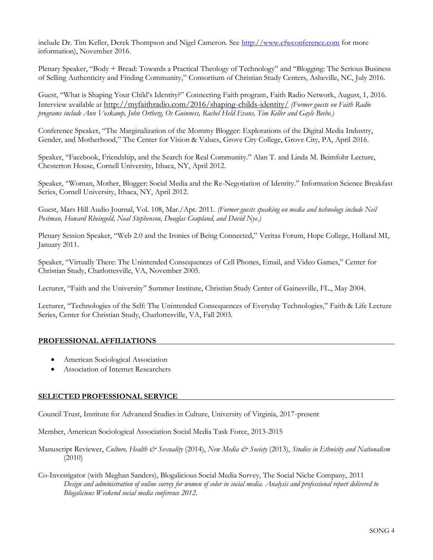include Dr. Tim Keller, Derek Thompson and Nigel Cameron. See [http://www.cfwconference.com](http://www.cfwconference.com/) for more information), November 2016.

Plenary Speaker, "Body + Bread: Towards a Practical Theology of Technology" and "Blogging: The Serious Business of Selling Authenticity and Finding Community," Consortium of Christian Study Centers, Asheville, NC, July 2016.

Guest, "What is Shaping Your Child's Identity?" Connecting Faith program, Faith Radio Network, August, 1, 2016. Interview available at <http://myfaithradio.com/2016/shaping-childs-identity/> *(Former guests on Faith Radio programs include Ann Voskamp, John Ortberg, Os Guinness, Rachel Held Evans, Tim Keller and Gayle Beebe.)*

Conference Speaker, "The Marginalization of the Mommy Blogger: Explorations of the Digital Media Industry, Gender, and Motherhood," The Center for Vision & Values, Grove City College, Grove City, PA, April 2016.

Speaker, "Facebook, Friendship, and the Search for Real Community." Alan T. and Linda M. Beimfohr Lecture, Chesterton House, Cornell University, Ithaca, NY, April 2012.

Speaker, "Woman, Mother, Blogger: Social Media and the Re-Negotiation of Identity." Information Science Breakfast Series, Cornell University, Ithaca, NY, April 2012.

Guest, Mars Hill Audio Journal, Vol. 108, Mar./Apr. 2011. *(Former guests speaking on media and technology include Neil Postman, Howard Rheingold, Neal Stephenson, Douglas Coupland, and David Nye.)*

Plenary Session Speaker, "Web 2.0 and the Ironies of Being Connected," Veritas Forum, Hope College, Holland MI, January 2011.

Speaker, "Virtually There: The Unintended Consequences of Cell Phones, Email, and Video Games," Center for Christian Study, Charlottesville, VA, November 2005.

Lecturer, "Faith and the University" Summer Institute, Christian Study Center of Gainesville, FL., May 2004.

Lecturer, "Technologies of the Self: The Unintended Consequences of Everyday Technologies," Faith & Life Lecture Series, Center for Christian Study, Charlottesville, VA, Fall 2003.

#### **PROFESSIONAL AFFILIATIONS**

- American Sociological Association
- Association of Internet Researchers

#### **SELECTED PROFESSIONAL SERVICE**

Council Trust, Institute for Advanced Studies in Culture, University of Virginia, 2017-present

Member, American Sociological Association Social Media Task Force, 2013-2015

Manuscript Reviewer, *Culture, Health & Sexuality* (2014), *New Media & Society* (2013), *Studies in Ethnicity and Nationalism* (2010)

Co-Investigator (with Meghan Sanders), Blogalicious Social Media Survey, The Social Niche Company, 2011 *Design and administration of online survey for women of color in social media. Analysis and professional report delivered to Blogalicious Weekend social media conference 2012.*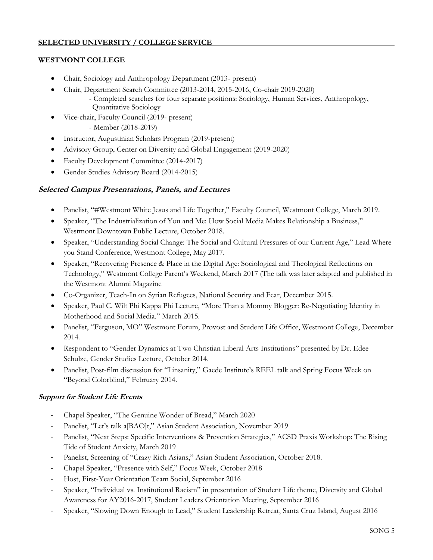# **SELECTED UNIVERSITY / COLLEGE SERVICE**

# **WESTMONT COLLEGE**

- Chair, Sociology and Anthropology Department (2013- present)
- Chair, Department Search Committee (2013-2014, 2015-2016, Co-chair 2019-2020)
	- Completed searches for four separate positions: Sociology, Human Services, Anthropology, Quantitative Sociology
- Vice-chair, Faculty Council (2019- present)

- Member (2018-2019)

- Instructor, Augustinian Scholars Program (2019-present)
- Advisory Group, Center on Diversity and Global Engagement (2019-2020)
- Faculty Development Committee (2014-2017)
- Gender Studies Advisory Board (2014-2015)

# **Selected Campus Presentations, Panels, and Lectures**

- Panelist, "#Westmont White Jesus and Life Together," Faculty Council, Westmont College, March 2019.
- Speaker, "The Industrialization of You and Me: How Social Media Makes Relationship a Business," Westmont Downtown Public Lecture, October 2018.
- Speaker, "Understanding Social Change: The Social and Cultural Pressures of our Current Age," Lead Where you Stand Conference, Westmont College, May 2017.
- Speaker, "Recovering Presence & Place in the Digital Age: Sociological and Theological Reflections on Technology," Westmont College Parent's Weekend, March 2017 (The talk was later adapted and published in the Westmont Alumni Magazine
- Co-Organizer, Teach-In on Syrian Refugees, National Security and Fear, December 2015.
- Speaker, Paul C. Wilt Phi Kappa Phi Lecture, "More Than a Mommy Blogger: Re-Negotiating Identity in Motherhood and Social Media." March 2015.
- Panelist, "Ferguson, MO" Westmont Forum, Provost and Student Life Office, Westmont College, December 2014.
- Respondent to "Gender Dynamics at Two Christian Liberal Arts Institutions" presented by Dr. Edee Schulze, Gender Studies Lecture, October 2014.
- Panelist, Post-film discussion for "Linsanity," Gaede Institute's REEL talk and Spring Focus Week on "Beyond Colorblind," February 2014.

# **Support for Student Life Events**

- Chapel Speaker, "The Genuine Wonder of Bread," March 2020
- Panelist, "Let's talk a[BAO]t," Asian Student Association, November 2019
- Panelist, "Next Steps: Specific Interventions & Prevention Strategies," ACSD Praxis Workshop: The Rising Tide of Student Anxiety, March 2019
- Panelist, Screening of "Crazy Rich Asians," Asian Student Association, October 2018.
- Chapel Speaker, "Presence with Self," Focus Week, October 2018
- Host, First-Year Orientation Team Social, September 2016
- Speaker, "Individual vs. Institutional Racism" in presentation of Student Life theme, Diversity and Global Awareness for AY2016-2017, Student Leaders Orientation Meeting, September 2016
- Speaker, "Slowing Down Enough to Lead," Student Leadership Retreat, Santa Cruz Island, August 2016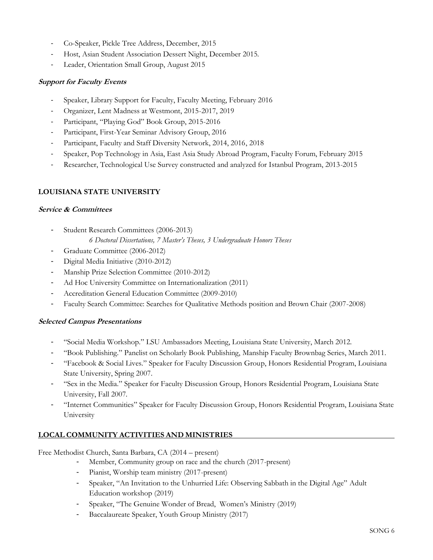- Co-Speaker, Pickle Tree Address, December, 2015
- Host, Asian Student Association Dessert Night, December 2015.
- Leader, Orientation Small Group, August 2015

## **Support for Faculty Events**

- Speaker, Library Support for Faculty, Faculty Meeting, February 2016
- Organizer, Lent Madness at Westmont, 2015-2017, 2019
- Participant, "Playing God" Book Group, 2015-2016
- Participant, First-Year Seminar Advisory Group, 2016
- Participant, Faculty and Staff Diversity Network, 2014, 2016, 2018
- Speaker, Pop Technology in Asia, East Asia Study Abroad Program, Faculty Forum, February 2015
- Researcher, Technological Use Survey constructed and analyzed for Istanbul Program, 2013-2015

## **LOUISIANA STATE UNIVERSITY**

### **Service & Committees**

- Student Research Committees (2006-2013) *6 Doctoral Dissertations, 7 Master's Theses, 3 Undergraduate Honors Theses*
- Graduate Committee (2006-2012)
- Digital Media Initiative (2010-2012)
- Manship Prize Selection Committee (2010-2012)
- Ad Hoc University Committee on Internationalization (2011)
- Accreditation General Education Committee (2009-2010)
- Faculty Search Committee: Searches for Qualitative Methods position and Brown Chair (2007-2008)

## **Selected Campus Presentations**

- "Social Media Workshop." LSU Ambassadors Meeting, Louisiana State University, March 2012.
- "Book Publishing." Panelist on Scholarly Book Publishing, Manship Faculty Brownbag Series, March 2011.
- "Facebook & Social Lives." Speaker for Faculty Discussion Group, Honors Residential Program, Louisiana State University, Spring 2007.
- "Sex in the Media." Speaker for Faculty Discussion Group, Honors Residential Program, Louisiana State University, Fall 2007.
- "Internet Communities" Speaker for Faculty Discussion Group, Honors Residential Program, Louisiana State University

# **LOCAL COMMUNITY ACTIVITIES AND MINISTRIES**

Free Methodist Church, Santa Barbara, CA (2014 – present)

- Member, Community group on race and the church (2017-present)
- Pianist, Worship team ministry (2017-present)
- Speaker, "An Invitation to the Unhurried Life: Observing Sabbath in the Digital Age" Adult Education workshop (2019)
- Speaker, "The Genuine Wonder of Bread, Women's Ministry (2019)
- Baccalaureate Speaker, Youth Group Ministry (2017)